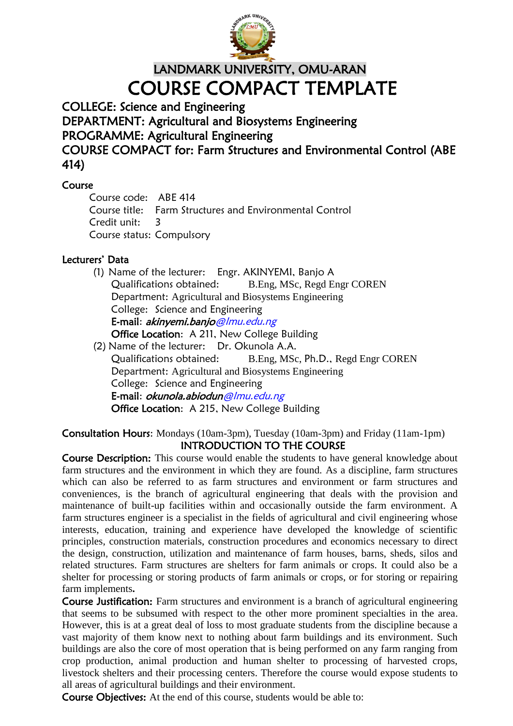

LANDMARK UNIVERSITY, OMU-ARAN COURSE COMPACT TEMPLATE

COLLEGE: Science and Engineering

DEPARTMENT: Agricultural and Biosystems Engineering

PROGRAMME: Agricultural Engineering

COURSE COMPACT for: Farm Structures and Environmental Control (ABE 414)

## Course

Course code: ABE 414 Course title: Farm Structures and Environmental Control Credit unit: 3 Course status: Compulsory

## Lecturers' Data

- (1) Name of the lecturer: Engr. AKINYEMI, Banjo A Qualifications obtained: B.Eng, MSc, Regd Engr COREN Department: Agricultural and Biosystems Engineering College: Science and Engineering E-mail: akinyemi.banjo@lmu.edu.ng Office Location: A 211, New College Building
- (2) Name of the lecturer: Dr. Okunola A.A. Qualifications obtained: B.Eng, MSc, Ph.D., Regd Engr COREN Department: Agricultural and Biosystems Engineering College: Science and Engineering E-mail: okunola.abiodun@lmu.edu.ng Office Location: A 215, New College Building

#### Consultation Hours: Mondays (10am-3pm), Tuesday (10am-3pm) and Friday (11am-1pm) INTRODUCTION TO THE COURSE

Course Description: This course would enable the students to have general knowledge about farm structures and the environment in which they are found. As a discipline, farm structures which can also be referred to as farm structures and environment or farm structures and conveniences, is the branch of agricultural engineering that deals with the provision and maintenance of built-up facilities within and occasionally outside the farm environment. A farm structures engineer is a specialist in the fields of agricultural and civil engineering whose interests, education, training and experience have developed the knowledge of scientific principles, construction materials, construction procedures and economics necessary to direct the design, construction, utilization and maintenance of farm houses, barns, sheds, silos and related structures. Farm structures are shelters for farm animals or crops. It could also be a shelter for processing or storing products of farm animals or crops, or for storing or repairing farm implements**.**

Course Justification: Farm structures and environment is a branch of agricultural engineering that seems to be subsumed with respect to the other more prominent specialties in the area. However, this is at a great deal of loss to most graduate students from the discipline because a vast majority of them know next to nothing about farm buildings and its environment. Such buildings are also the core of most operation that is being performed on any farm ranging from crop production, animal production and human shelter to processing of harvested crops, livestock shelters and their processing centers. Therefore the course would expose students to all areas of agricultural buildings and their environment.

Course Objectives: At the end of this course, students would be able to: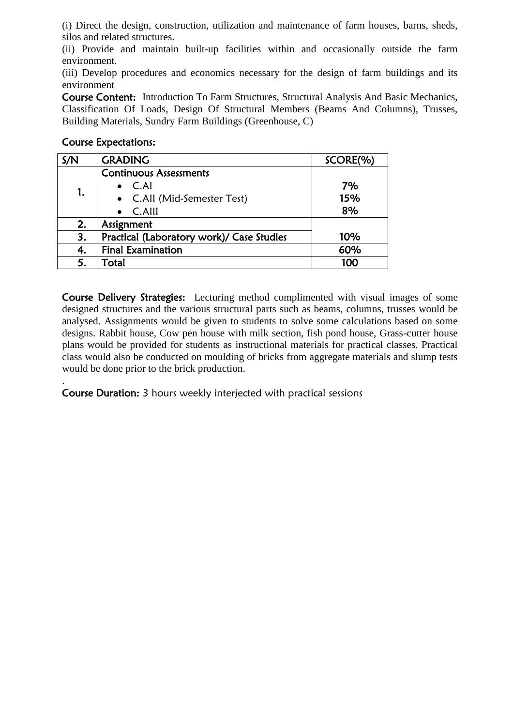(i) Direct the design, construction, utilization and maintenance of farm houses, barns, sheds, silos and related structures.

(ii) Provide and maintain built-up facilities within and occasionally outside the farm environment.

(iii) Develop procedures and economics necessary for the design of farm buildings and its environment

Course Content: Introduction To Farm Structures, Structural Analysis And Basic Mechanics, Classification Of Loads, Design Of Structural Members (Beams And Columns), Trusses, Building Materials, Sundry Farm Buildings (Greenhouse, C)

#### Course Expectations:

| S/N | <b>GRADING</b>                            | SCORE(%) |
|-----|-------------------------------------------|----------|
| 1.  | <b>Continuous Assessments</b>             |          |
|     | $\bullet$ C.AI                            | 7%       |
|     | • C.All (Mid-Semester Test)               | 15%      |
|     | $\bullet$ C.Alll                          | 8%       |
| 2.  | Assignment                                |          |
| 3.  | Practical (Laboratory work)/ Case Studies | 10%      |
| 4.  | <b>Final Examination</b>                  | 60%      |
| 5.  | Total                                     | 100      |

Course Delivery Strategies: Lecturing method complimented with visual images of some designed structures and the various structural parts such as beams, columns, trusses would be analysed. Assignments would be given to students to solve some calculations based on some designs. Rabbit house, Cow pen house with milk section, fish pond house, Grass-cutter house plans would be provided for students as instructional materials for practical classes. Practical class would also be conducted on moulding of bricks from aggregate materials and slump tests would be done prior to the brick production.

. Course Duration: 3 hours weekly interjected with practical sessions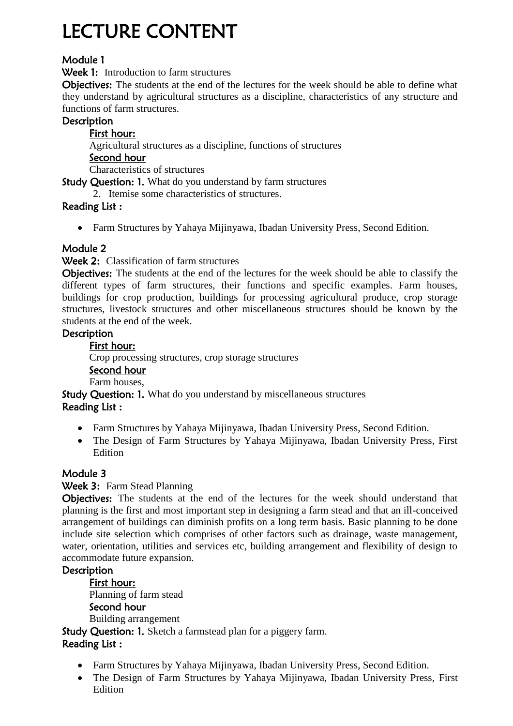# LECTURE CONTENT

# Module 1

Week 1: Introduction to farm structures

Objectives: The students at the end of the lectures for the week should be able to define what they understand by agricultural structures as a discipline, characteristics of any structure and functions of farm structures.

## **Description**

#### First hour: Agricultural structures as a discipline, functions of structures Second hour Characteristics of structures

Study Question: 1. What do you understand by farm structures

2. Itemise some characteristics of structures.

## Reading List :

Farm Structures by Yahaya Mijinyawa, Ibadan University Press, Second Edition.

## Module 2

Week 2: Classification of farm structures

Objectives: The students at the end of the lectures for the week should be able to classify the different types of farm structures, their functions and specific examples. Farm houses, buildings for crop production, buildings for processing agricultural produce, crop storage structures, livestock structures and other miscellaneous structures should be known by the students at the end of the week.

## **Description**

First hour:

Crop processing structures, crop storage structures

#### Second hour

Farm houses,

Study Question: 1. What do you understand by miscellaneous structures Reading List :

- Farm Structures by Yahaya Mijinyawa, Ibadan University Press, Second Edition.
- The Design of Farm Structures by Yahaya Mijinyawa, Ibadan University Press, First Edition

## Module 3

## Week 3: Farm Stead Planning

Objectives: The students at the end of the lectures for the week should understand that planning is the first and most important step in designing a farm stead and that an ill-conceived arrangement of buildings can diminish profits on a long term basis. Basic planning to be done include site selection which comprises of other factors such as drainage, waste management, water, orientation, utilities and services etc, building arrangement and flexibility of design to accommodate future expansion.

## **Description**

First hour: Planning of farm stead Second hour Building arrangement Study Question: 1. Sketch a farmstead plan for a piggery farm. Reading List :

- Farm Structures by Yahaya Mijinyawa, Ibadan University Press, Second Edition.
- The Design of Farm Structures by Yahaya Mijinyawa, Ibadan University Press, First Edition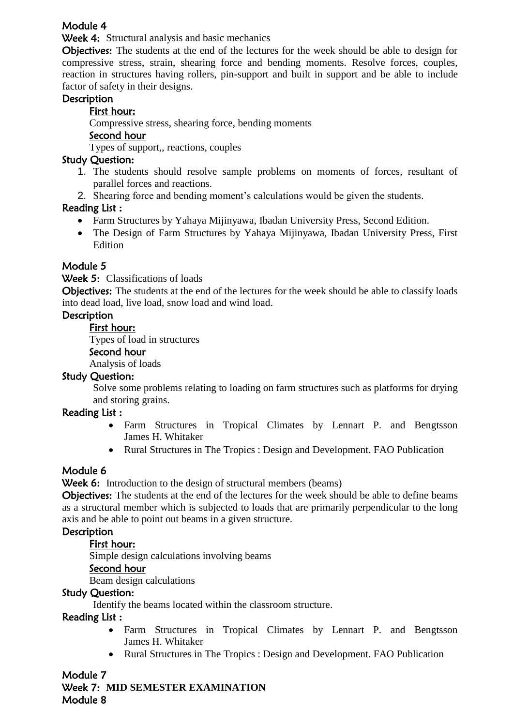## Module 4

Week 4: Structural analysis and basic mechanics

Objectives: The students at the end of the lectures for the week should be able to design for compressive stress, strain, shearing force and bending moments. Resolve forces, couples, reaction in structures having rollers, pin-support and built in support and be able to include factor of safety in their designs.

## **Description**

## First hour:

Compressive stress, shearing force, bending moments

#### Second hour

Types of support,, reactions, couples

## Study Question:

- 1. The students should resolve sample problems on moments of forces, resultant of parallel forces and reactions.
- 2. Shearing force and bending moment's calculations would be given the students.

## Reading List :

- Farm Structures by Yahaya Mijinyawa, Ibadan University Press, Second Edition.
- The Design of Farm Structures by Yahaya Mijinyawa, Ibadan University Press, First Edition

## Module 5

Week 5: Classifications of loads

Objectives: The students at the end of the lectures for the week should be able to classify loads into dead load, live load, snow load and wind load.

## **Description**

First hour:

Types of load in structures

#### Second hour

Analysis of loads

#### Study Question:

Solve some problems relating to loading on farm structures such as platforms for drying and storing grains.

## Reading List :

- Farm Structures in Tropical Climates by Lennart P. and Bengtsson James H. Whitaker
- Rural Structures in The Tropics : Design and Development. FAO Publication

## Module 6

Week 6: Introduction to the design of structural members (beams)

**Objectives:** The students at the end of the lectures for the week should be able to define beams as a structural member which is subjected to loads that are primarily perpendicular to the long axis and be able to point out beams in a given structure.

## **Description**

## First hour:

Simple design calculations involving beams

## Second hour

Beam design calculations

#### Study Question:

Identify the beams located within the classroom structure.

## Reading List :

- Farm Structures in Tropical Climates by Lennart P. and Bengtsson James H. Whitaker
- Rural Structures in The Tropics : Design and Development. FAO Publication

## Module 7

Week 7: **MID SEMESTER EXAMINATION** Module 8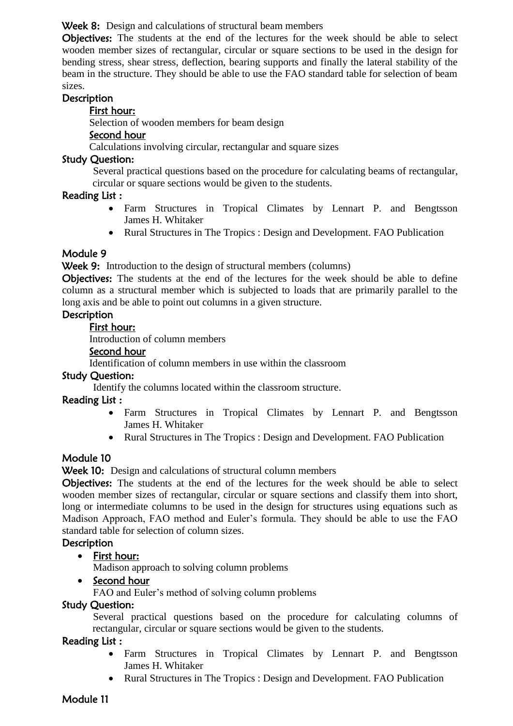Week 8: Design and calculations of structural beam members

Objectives: The students at the end of the lectures for the week should be able to select wooden member sizes of rectangular, circular or square sections to be used in the design for bending stress, shear stress, deflection, bearing supports and finally the lateral stability of the beam in the structure. They should be able to use the FAO standard table for selection of beam sizes.

#### **Description**

#### First hour:

Selection of wooden members for beam design

#### Second hour

Calculations involving circular, rectangular and square sizes

#### Study Question:

Several practical questions based on the procedure for calculating beams of rectangular, circular or square sections would be given to the students.

#### Reading List :

- Farm Structures in Tropical Climates by Lennart P. and Bengtsson James H. Whitaker
- Rural Structures in The Tropics : Design and Development. FAO Publication

## Module 9

Week 9: Introduction to the design of structural members (columns)

Objectives: The students at the end of the lectures for the week should be able to define column as a structural member which is subjected to loads that are primarily parallel to the long axis and be able to point out columns in a given structure.

## **Description**

#### First hour:

Introduction of column members

#### Second hour

Identification of column members in use within the classroom

#### Study Question:

Identify the columns located within the classroom structure.

#### Reading List :

- Farm Structures in Tropical Climates by Lennart P. and Bengtsson James H. Whitaker
- Rural Structures in The Tropics : Design and Development. FAO Publication

## Module 10

Week 10: Design and calculations of structural column members

Objectives: The students at the end of the lectures for the week should be able to select wooden member sizes of rectangular, circular or square sections and classify them into short, long or intermediate columns to be used in the design for structures using equations such as Madison Approach, FAO method and Euler's formula. They should be able to use the FAO standard table for selection of column sizes.

## **Description**

## • First hour:

Madison approach to solving column problems

## • Second hour

FAO and Euler's method of solving column problems

#### Study Question:

Several practical questions based on the procedure for calculating columns of rectangular, circular or square sections would be given to the students.

#### Reading List :

- Farm Structures in Tropical Climates by Lennart P. and Bengtsson James H. Whitaker
- Rural Structures in The Tropics : Design and Development. FAO Publication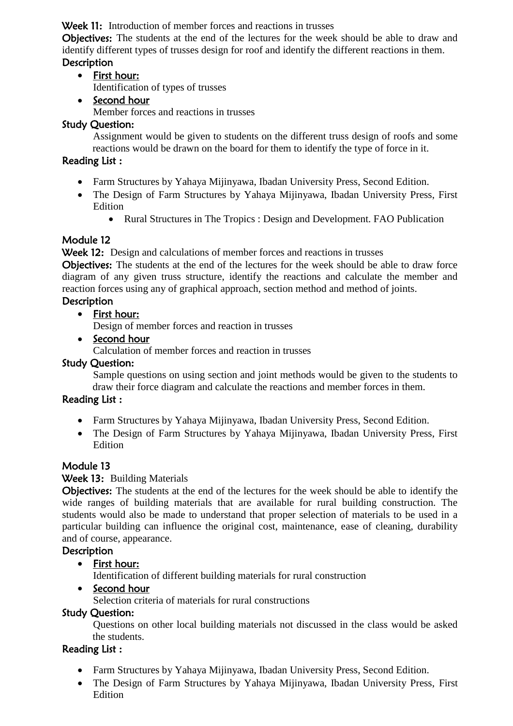Week 11: Introduction of member forces and reactions in trusses

Objectives: The students at the end of the lectures for the week should be able to draw and identify different types of trusses design for roof and identify the different reactions in them. **Description** 

# First hour:

Identification of types of trusses

• Second hour

Member forces and reactions in trusses

## Study Question:

Assignment would be given to students on the different truss design of roofs and some reactions would be drawn on the board for them to identify the type of force in it.

## Reading List :

- Farm Structures by Yahaya Mijinyawa, Ibadan University Press, Second Edition.
- The Design of Farm Structures by Yahaya Mijinyawa, Ibadan University Press, First Edition
	- Rural Structures in The Tropics : Design and Development. FAO Publication

## Module 12

Week 12: Design and calculations of member forces and reactions in trusses

Objectives: The students at the end of the lectures for the week should be able to draw force diagram of any given truss structure, identify the reactions and calculate the member and reaction forces using any of graphical approach, section method and method of joints.

# **Description**

• First hour:

Design of member forces and reaction in trusses

• Second hour

Calculation of member forces and reaction in trusses

## Study Question:

Sample questions on using section and joint methods would be given to the students to draw their force diagram and calculate the reactions and member forces in them.

## Reading List :

- Farm Structures by Yahaya Mijinyawa, Ibadan University Press, Second Edition.
- The Design of Farm Structures by Yahaya Mijinyawa, Ibadan University Press, First Edition

## Module 13

## Week 13: Building Materials

Objectives: The students at the end of the lectures for the week should be able to identify the wide ranges of building materials that are available for rural building construction. The students would also be made to understand that proper selection of materials to be used in a particular building can influence the original cost, maintenance, ease of cleaning, durability and of course, appearance.

## **Description**

First hour:

Identification of different building materials for rural construction

• Second hour Selection criteria of materials for rural constructions

## Study Question:

Questions on other local building materials not discussed in the class would be asked the students.

## Reading List :

- Farm Structures by Yahaya Mijinyawa, Ibadan University Press, Second Edition.
- The Design of Farm Structures by Yahaya Mijinyawa, Ibadan University Press, First Edition